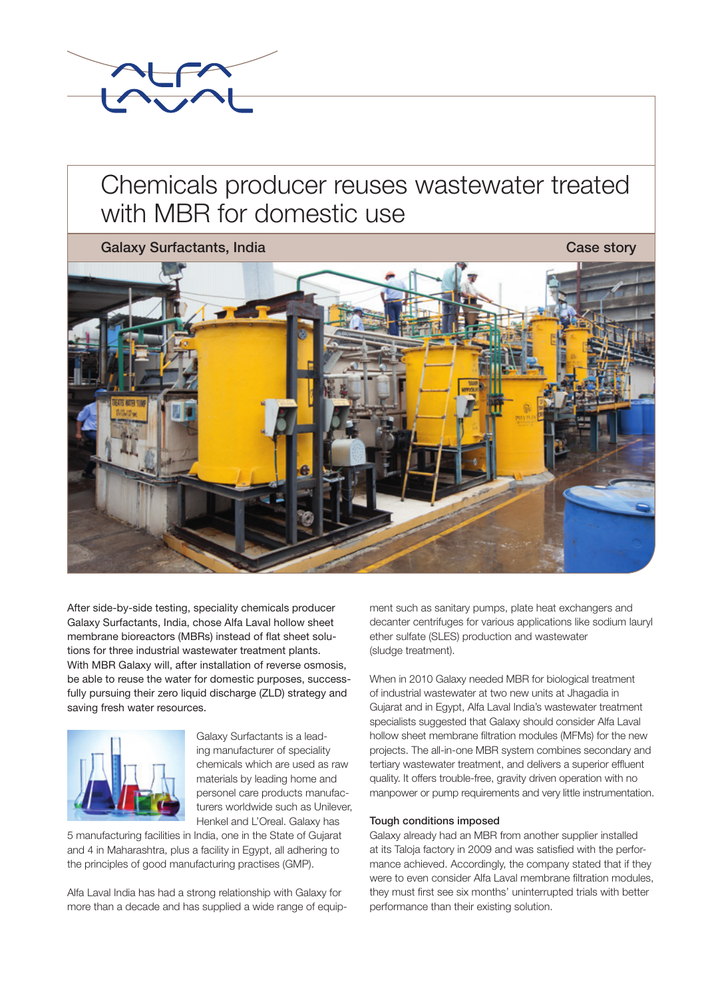

# Chemicals producer reuses wastewater treated with MBR for domestic use

Galaxy Surfactants, India Case story Case story



After side-by-side testing, speciality chemicals producer Galaxy Surfactants, India, chose Alfa Laval hollow sheet membrane bioreactors (MBRs) instead of flat sheet solutions for three industrial wastewater treatment plants. With MBR Galaxy will, after installation of reverse osmosis, be able to reuse the water for domestic purposes, successfully pursuing their zero liquid discharge (ZLD) strategy and saving fresh water resources.



Galaxy Surfactants is a leading manufacturer of speciality chemicals which are used as raw materials by leading home and personel care products manufacturers worldwide such as Unilever, Henkel and L'Oreal. Galaxy has

5 manufacturing facilities in India, one in the State of Gujarat and 4 in Maharashtra, plus a facility in Egypt, all adhering to the principles of good manufacturing practises (GMP).

Alfa Laval India has had a strong relationship with Galaxy for more than a decade and has supplied a wide range of equipment such as sanitary pumps, plate heat exchangers and decanter centrifuges for various applications like sodium lauryl ether sulfate (SLES) production and wastewater (sludge treatment).

When in 2010 Galaxy needed MBR for biological treatment of industrial wastewater at two new units at Jhagadia in Gujarat and in Egypt, Alfa Laval India's wastewater treatment specialists suggested that Galaxy should consider Alfa Laval hollow sheet membrane filtration modules (MFMs) for the new projects. The all-in-one MBR system combines secondary and tertiary wastewater treatment, and delivers a superior effluent quality. It offers trouble-free, gravity driven operation with no manpower or pump requirements and very little instrumentation.

### Tough conditions imposed

Galaxy already had an MBR from another supplier installed at its Taloja factory in 2009 and was satisfied with the performance achieved. Accordingly, the company stated that if they were to even consider Alfa Laval membrane filtration modules, they must first see six months' uninterrupted trials with better performance than their existing solution.